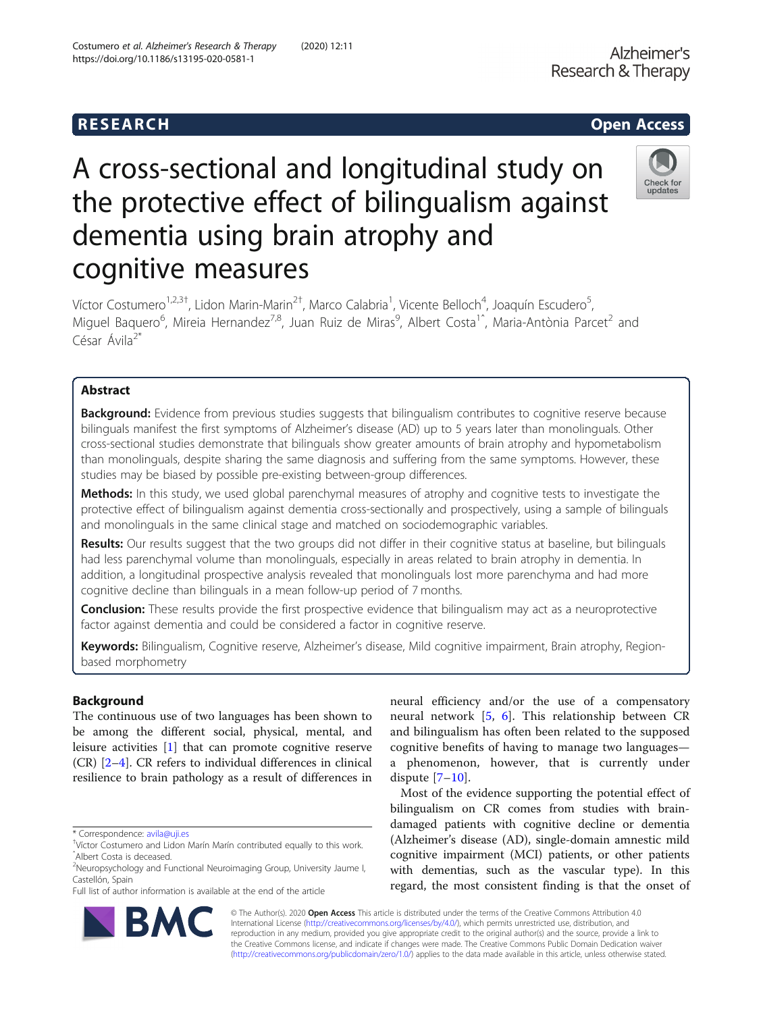## **RESEARCH CHING CONSUMING CONSUMING CONSUMING CONSUMING CONSUMING CONSUMING CONSUMING CONSUMING CONSUMING CONSUMING CONSUMING CONSUMING CONSUMING CONSUMING CONSUMING CONSUMING CONSUMING CONSUMING CONSUMING CONSUMING CONS**

Check for undate

# A cross-sectional and longitudinal study on the protective effect of bilingualism against dementia using brain atrophy and cognitive measures

Víctor Costumero<sup>1,2,3†</sup>, Lidon Marin-Marin<sup>2†</sup>, Marco Calabria<sup>1</sup>, Vicente Belloch<sup>4</sup>, Joaquín Escudero<sup>5</sup> , Miguel Baquero<sup>6</sup>, Mireia Hernandez<sup>7,8</sup>, Juan Ruiz de Miras<sup>9</sup>, Albert Costa<sup>1^</sup>, Maria-Antònia Parcet<sup>2</sup> and César Ávila2\*

### Abstract

**Background:** Evidence from previous studies suggests that bilingualism contributes to cognitive reserve because bilinguals manifest the first symptoms of Alzheimer's disease (AD) up to 5 years later than monolinguals. Other cross-sectional studies demonstrate that bilinguals show greater amounts of brain atrophy and hypometabolism than monolinguals, despite sharing the same diagnosis and suffering from the same symptoms. However, these studies may be biased by possible pre-existing between-group differences.

Methods: In this study, we used global parenchymal measures of atrophy and cognitive tests to investigate the protective effect of bilingualism against dementia cross-sectionally and prospectively, using a sample of bilinguals and monolinguals in the same clinical stage and matched on sociodemographic variables.

Results: Our results suggest that the two groups did not differ in their cognitive status at baseline, but bilinguals had less parenchymal volume than monolinguals, especially in areas related to brain atrophy in dementia. In addition, a longitudinal prospective analysis revealed that monolinguals lost more parenchyma and had more cognitive decline than bilinguals in a mean follow-up period of 7 months.

**Conclusion:** These results provide the first prospective evidence that bilingualism may act as a neuroprotective factor against dementia and could be considered a factor in cognitive reserve.

Keywords: Bilingualism, Cognitive reserve, Alzheimer's disease, Mild cognitive impairment, Brain atrophy, Regionbased morphometry

### Background

The continuous use of two languages has been shown to be among the different social, physical, mental, and leisure activities [[1](#page-8-0)] that can promote cognitive reserve (CR) [\[2](#page-8-0)–[4\]](#page-8-0). CR refers to individual differences in clinical resilience to brain pathology as a result of differences in

neural efficiency and/or the use of a compensatory neural network [\[5](#page-8-0), [6\]](#page-8-0). This relationship between CR and bilingualism has often been related to the supposed cognitive benefits of having to manage two languages a phenomenon, however, that is currently under dispute [\[7](#page-8-0)–[10](#page-8-0)].

Most of the evidence supporting the potential effect of bilingualism on CR comes from studies with braindamaged patients with cognitive decline or dementia (Alzheimer's disease (AD), single-domain amnestic mild cognitive impairment (MCI) patients, or other patients with dementias, such as the vascular type). In this regard, the most consistent finding is that the onset of



© The Author(s). 2020 **Open Access** This article is distributed under the terms of the Creative Commons Attribution 4.0 International License [\(http://creativecommons.org/licenses/by/4.0/](http://creativecommons.org/licenses/by/4.0/)), which permits unrestricted use, distribution, and reproduction in any medium, provided you give appropriate credit to the original author(s) and the source, provide a link to the Creative Commons license, and indicate if changes were made. The Creative Commons Public Domain Dedication waiver [\(http://creativecommons.org/publicdomain/zero/1.0/](http://creativecommons.org/publicdomain/zero/1.0/)) applies to the data made available in this article, unless otherwise stated.

<sup>\*</sup> Correspondence: [avila@uji.es](mailto:avila@uji.es) †

Víctor Costumero and Lidon Marín Marín contributed equally to this work. ˆAlbert Costa is deceased.

<sup>&</sup>lt;sup>2</sup>Neuropsychology and Functional Neuroimaging Group, University Jaume I, Castellón, Spain

Full list of author information is available at the end of the article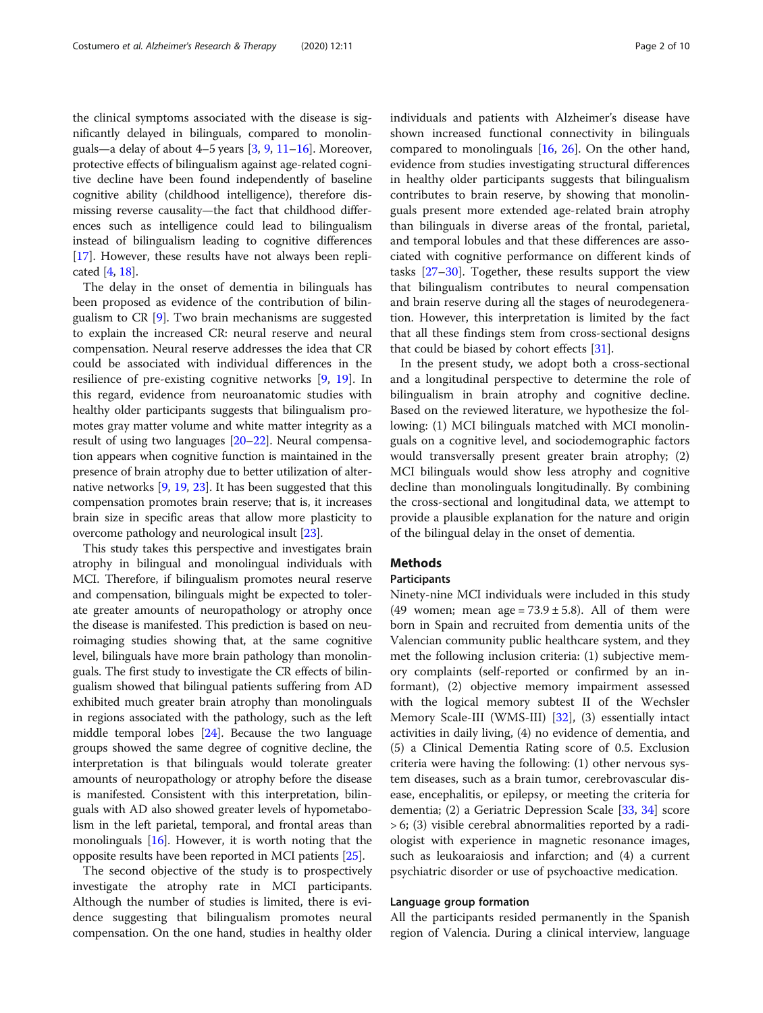the clinical symptoms associated with the disease is significantly delayed in bilinguals, compared to monolinguals—a delay of about  $4-5$  years  $\left[3, 9, 11-16\right]$  $\left[3, 9, 11-16\right]$  $\left[3, 9, 11-16\right]$  $\left[3, 9, 11-16\right]$  $\left[3, 9, 11-16\right]$  $\left[3, 9, 11-16\right]$  $\left[3, 9, 11-16\right]$  $\left[3, 9, 11-16\right]$  $\left[3, 9, 11-16\right]$ . Moreover, protective effects of bilingualism against age-related cognitive decline have been found independently of baseline cognitive ability (childhood intelligence), therefore dismissing reverse causality—the fact that childhood differences such as intelligence could lead to bilingualism instead of bilingualism leading to cognitive differences [[17](#page-8-0)]. However, these results have not always been replicated [[4](#page-8-0), [18\]](#page-8-0).

The delay in the onset of dementia in bilinguals has been proposed as evidence of the contribution of bilingualism to CR [\[9\]](#page-8-0). Two brain mechanisms are suggested to explain the increased CR: neural reserve and neural compensation. Neural reserve addresses the idea that CR could be associated with individual differences in the resilience of pre-existing cognitive networks [[9,](#page-8-0) [19](#page-8-0)]. In this regard, evidence from neuroanatomic studies with healthy older participants suggests that bilingualism promotes gray matter volume and white matter integrity as a result of using two languages [\[20](#page-8-0)–[22](#page-8-0)]. Neural compensation appears when cognitive function is maintained in the presence of brain atrophy due to better utilization of alternative networks [\[9](#page-8-0), [19,](#page-8-0) [23](#page-9-0)]. It has been suggested that this compensation promotes brain reserve; that is, it increases brain size in specific areas that allow more plasticity to overcome pathology and neurological insult [\[23](#page-9-0)].

This study takes this perspective and investigates brain atrophy in bilingual and monolingual individuals with MCI. Therefore, if bilingualism promotes neural reserve and compensation, bilinguals might be expected to tolerate greater amounts of neuropathology or atrophy once the disease is manifested. This prediction is based on neuroimaging studies showing that, at the same cognitive level, bilinguals have more brain pathology than monolinguals. The first study to investigate the CR effects of bilingualism showed that bilingual patients suffering from AD exhibited much greater brain atrophy than monolinguals in regions associated with the pathology, such as the left middle temporal lobes [[24](#page-9-0)]. Because the two language groups showed the same degree of cognitive decline, the interpretation is that bilinguals would tolerate greater amounts of neuropathology or atrophy before the disease is manifested. Consistent with this interpretation, bilinguals with AD also showed greater levels of hypometabolism in the left parietal, temporal, and frontal areas than monolinguals [\[16\]](#page-8-0). However, it is worth noting that the opposite results have been reported in MCI patients [\[25\]](#page-9-0).

The second objective of the study is to prospectively investigate the atrophy rate in MCI participants. Although the number of studies is limited, there is evidence suggesting that bilingualism promotes neural compensation. On the one hand, studies in healthy older

individuals and patients with Alzheimer's disease have shown increased functional connectivity in bilinguals compared to monolinguals [[16,](#page-8-0) [26](#page-9-0)]. On the other hand, evidence from studies investigating structural differences in healthy older participants suggests that bilingualism contributes to brain reserve, by showing that monolinguals present more extended age-related brain atrophy than bilinguals in diverse areas of the frontal, parietal, and temporal lobules and that these differences are associated with cognitive performance on different kinds of tasks [\[27](#page-9-0)–[30\]](#page-9-0). Together, these results support the view that bilingualism contributes to neural compensation and brain reserve during all the stages of neurodegeneration. However, this interpretation is limited by the fact that all these findings stem from cross-sectional designs that could be biased by cohort effects [\[31](#page-9-0)].

In the present study, we adopt both a cross-sectional and a longitudinal perspective to determine the role of bilingualism in brain atrophy and cognitive decline. Based on the reviewed literature, we hypothesize the following: (1) MCI bilinguals matched with MCI monolinguals on a cognitive level, and sociodemographic factors would transversally present greater brain atrophy; (2) MCI bilinguals would show less atrophy and cognitive decline than monolinguals longitudinally. By combining the cross-sectional and longitudinal data, we attempt to provide a plausible explanation for the nature and origin of the bilingual delay in the onset of dementia.

#### Methods

#### Participants

Ninety-nine MCI individuals were included in this study (49 women; mean age =  $73.9 \pm 5.8$ ). All of them were born in Spain and recruited from dementia units of the Valencian community public healthcare system, and they met the following inclusion criteria: (1) subjective memory complaints (self-reported or confirmed by an informant), (2) objective memory impairment assessed with the logical memory subtest II of the Wechsler Memory Scale-III (WMS-III) [\[32](#page-9-0)], (3) essentially intact activities in daily living, (4) no evidence of dementia, and (5) a Clinical Dementia Rating score of 0.5. Exclusion criteria were having the following: (1) other nervous system diseases, such as a brain tumor, cerebrovascular disease, encephalitis, or epilepsy, or meeting the criteria for dementia; (2) a Geriatric Depression Scale [[33](#page-9-0), [34\]](#page-9-0) score > 6; (3) visible cerebral abnormalities reported by a radiologist with experience in magnetic resonance images, such as leukoaraiosis and infarction; and (4) a current psychiatric disorder or use of psychoactive medication.

#### Language group formation

All the participants resided permanently in the Spanish region of Valencia. During a clinical interview, language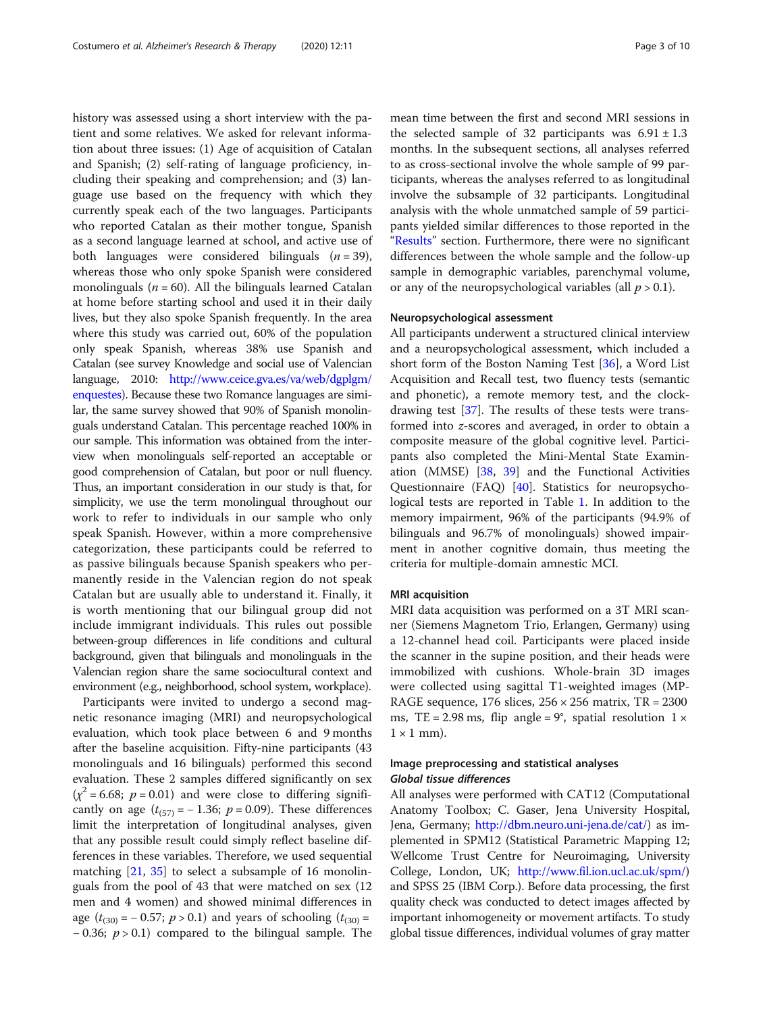history was assessed using a short interview with the patient and some relatives. We asked for relevant information about three issues: (1) Age of acquisition of Catalan and Spanish; (2) self-rating of language proficiency, including their speaking and comprehension; and (3) language use based on the frequency with which they currently speak each of the two languages. Participants who reported Catalan as their mother tongue, Spanish as a second language learned at school, and active use of both languages were considered bilinguals  $(n = 39)$ , whereas those who only spoke Spanish were considered monolinguals ( $n = 60$ ). All the bilinguals learned Catalan at home before starting school and used it in their daily lives, but they also spoke Spanish frequently. In the area where this study was carried out, 60% of the population only speak Spanish, whereas 38% use Spanish and Catalan (see survey Knowledge and social use of Valencian language, 2010: [http://www.ceice.gva.es/va/web/dgplgm/](http://www.ceice.gva.es/va/web/dgplgm/enquestes) [enquestes\)](http://www.ceice.gva.es/va/web/dgplgm/enquestes). Because these two Romance languages are similar, the same survey showed that 90% of Spanish monolinguals understand Catalan. This percentage reached 100% in our sample. This information was obtained from the interview when monolinguals self-reported an acceptable or good comprehension of Catalan, but poor or null fluency. Thus, an important consideration in our study is that, for simplicity, we use the term monolingual throughout our work to refer to individuals in our sample who only speak Spanish. However, within a more comprehensive categorization, these participants could be referred to as passive bilinguals because Spanish speakers who permanently reside in the Valencian region do not speak Catalan but are usually able to understand it. Finally, it is worth mentioning that our bilingual group did not include immigrant individuals. This rules out possible between-group differences in life conditions and cultural background, given that bilinguals and monolinguals in the Valencian region share the same sociocultural context and environment (e.g., neighborhood, school system, workplace).

Participants were invited to undergo a second magnetic resonance imaging (MRI) and neuropsychological evaluation, which took place between 6 and 9 months after the baseline acquisition. Fifty-nine participants (43 monolinguals and 16 bilinguals) performed this second evaluation. These 2 samples differed significantly on sex  $(\chi^2 = 6.68; p = 0.01)$  and were close to differing significantly on age  $(t_{(57)} = -1.36; p = 0.09)$ . These differences limit the interpretation of longitudinal analyses, given that any possible result could simply reflect baseline differences in these variables. Therefore, we used sequential matching [[21,](#page-8-0) [35](#page-9-0)] to select a subsample of 16 monolinguals from the pool of 43 that were matched on sex (12 men and 4 women) and showed minimal differences in age ( $t_{(30)} = -0.57$ ;  $p > 0.1$ ) and years of schooling ( $t_{(30)} =$ − 0.36;  $p > 0.1$ ) compared to the bilingual sample. The mean time between the first and second MRI sessions in the selected sample of 32 participants was  $6.91 \pm 1.3$ months. In the subsequent sections, all analyses referred to as cross-sectional involve the whole sample of 99 participants, whereas the analyses referred to as longitudinal involve the subsample of 32 participants. Longitudinal analysis with the whole unmatched sample of 59 participants yielded similar differences to those reported in the "[Results](#page-3-0)" section. Furthermore, there were no significant differences between the whole sample and the follow-up sample in demographic variables, parenchymal volume, or any of the neuropsychological variables (all  $p > 0.1$ ).

#### Neuropsychological assessment

All participants underwent a structured clinical interview and a neuropsychological assessment, which included a short form of the Boston Naming Test [[36](#page-9-0)], a Word List Acquisition and Recall test, two fluency tests (semantic and phonetic), a remote memory test, and the clockdrawing test [[37\]](#page-9-0). The results of these tests were transformed into z-scores and averaged, in order to obtain a composite measure of the global cognitive level. Participants also completed the Mini-Mental State Examination (MMSE) [\[38](#page-9-0), [39\]](#page-9-0) and the Functional Activities Questionnaire (FAQ) [\[40\]](#page-9-0). Statistics for neuropsychological tests are reported in Table [1.](#page-3-0) In addition to the memory impairment, 96% of the participants (94.9% of bilinguals and 96.7% of monolinguals) showed impairment in another cognitive domain, thus meeting the criteria for multiple-domain amnestic MCI.

#### MRI acquisition

MRI data acquisition was performed on a 3T MRI scanner (Siemens Magnetom Trio, Erlangen, Germany) using a 12-channel head coil. Participants were placed inside the scanner in the supine position, and their heads were immobilized with cushions. Whole-brain 3D images were collected using sagittal T1-weighted images (MP-RAGE sequence, 176 slices,  $256 \times 256$  matrix, TR = 2300 ms, TE = 2.98 ms, flip angle =  $9^{\circ}$ , spatial resolution  $1 \times$  $1 \times 1$  mm).

#### Image preprocessing and statistical analyses Global tissue differences

All analyses were performed with CAT12 (Computational Anatomy Toolbox; C. Gaser, Jena University Hospital, Jena, Germany; <http://dbm.neuro.uni-jena.de/cat/>) as implemented in SPM12 (Statistical Parametric Mapping 12; Wellcome Trust Centre for Neuroimaging, University College, London, UK; <http://www.fil.ion.ucl.ac.uk/spm/>) and SPSS 25 (IBM Corp.). Before data processing, the first quality check was conducted to detect images affected by important inhomogeneity or movement artifacts. To study global tissue differences, individual volumes of gray matter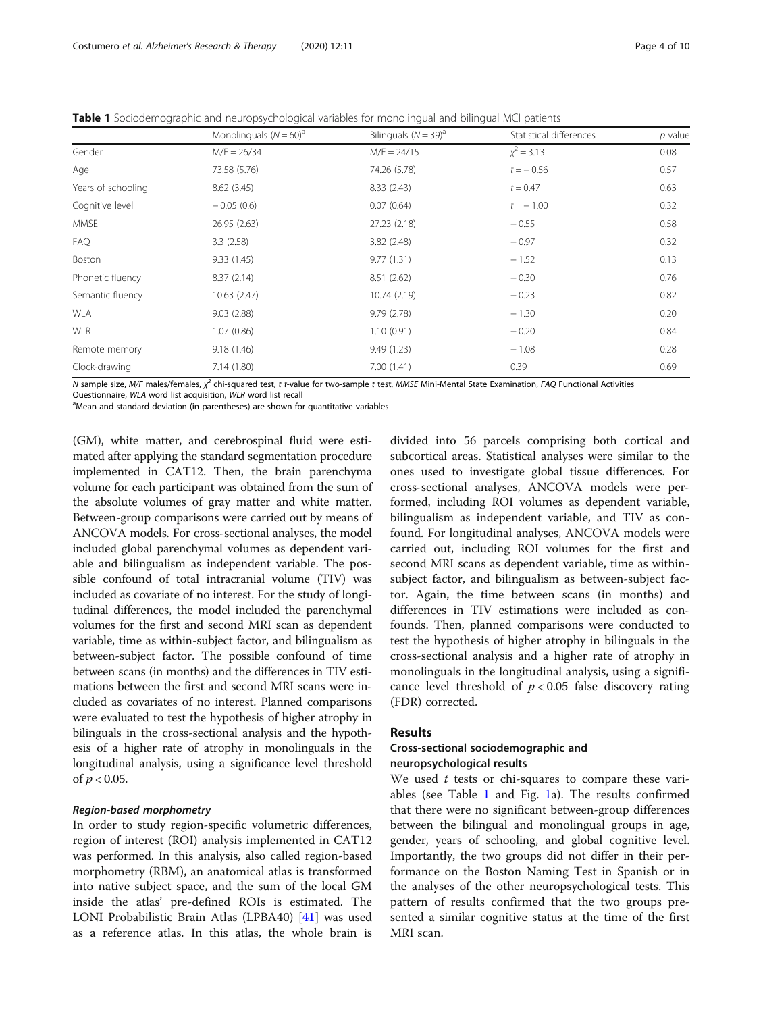<span id="page-3-0"></span>Table 1 Sociodemographic and neuropsychological variables for monolingual and bilingual MCI patients

|                         | Monolinguals $(N = 60)^a$ | Bilinguals $(N = 39)^a$  | Statistical differences | $p$ value |  |
|-------------------------|---------------------------|--------------------------|-------------------------|-----------|--|
| Gender<br>$M/F = 26/34$ |                           | $M/F = 24/15$            | $x^2 = 3.13$            | 0.08      |  |
| Age                     | 73.58 (5.76)              | 74.26 (5.78)             | $t = -0.56$             | 0.57      |  |
| Years of schooling      | 8.62(3.45)                | 8.33(2.43)<br>$t = 0.47$ |                         | 0.63      |  |
| Cognitive level         | $-0.05(0.6)$              | 0.07(0.64)               | $t = -1.00$             |           |  |
| <b>MMSE</b>             | 26.95 (2.63)              | 27.23 (2.18)             | $-0.55$                 | 0.58      |  |
| <b>FAQ</b>              | 3.3(2.58)                 | 3.82(2.48)               | $-0.97$                 | 0.32      |  |
| Boston                  | 9.33(1.45)                | 9.77(1.31)               | $-1.52$                 | 0.13      |  |
| Phonetic fluency        | 8.37(2.14)                | 8.51(2.62)               | $-0.30$                 | 0.76      |  |
| Semantic fluency        | 10.63(2.47)               | 10.74 (2.19)             | $-0.23$                 | 0.82      |  |
| <b>WLA</b>              | 9.03(2.88)                | 9.79(2.78)               | $-1.30$                 | 0.20      |  |
| <b>WLR</b>              | 1.07(0.86)                | 1.10(0.91)               | $-0.20$                 | 0.84      |  |
| Remote memory           | 9.18(1.46)                | 9.49(1.23)               | $-1.08$                 | 0.28      |  |
| Clock-drawing           | 7.14(1.80)                | 7.00(1.41)               | 0.39                    | 0.69      |  |

N sample size, M/F males/females,  $\chi^2$  chi-squared test, t t-value for two-sample t test, MMSE Mini-Mental State Examination, FAQ Functional Activities

Questionnaire, WLA word list acquisition, WLR word list recall

<sup>a</sup>Mean and standard deviation (in parentheses) are shown for quantitative variables

(GM), white matter, and cerebrospinal fluid were estimated after applying the standard segmentation procedure implemented in CAT12. Then, the brain parenchyma volume for each participant was obtained from the sum of the absolute volumes of gray matter and white matter. Between-group comparisons were carried out by means of ANCOVA models. For cross-sectional analyses, the model included global parenchymal volumes as dependent variable and bilingualism as independent variable. The possible confound of total intracranial volume (TIV) was included as covariate of no interest. For the study of longitudinal differences, the model included the parenchymal volumes for the first and second MRI scan as dependent variable, time as within-subject factor, and bilingualism as between-subject factor. The possible confound of time between scans (in months) and the differences in TIV estimations between the first and second MRI scans were included as covariates of no interest. Planned comparisons were evaluated to test the hypothesis of higher atrophy in bilinguals in the cross-sectional analysis and the hypothesis of a higher rate of atrophy in monolinguals in the longitudinal analysis, using a significance level threshold of  $p < 0.05$ .

#### Region-based morphometry

In order to study region-specific volumetric differences, region of interest (ROI) analysis implemented in CAT12 was performed. In this analysis, also called region-based morphometry (RBM), an anatomical atlas is transformed into native subject space, and the sum of the local GM inside the atlas' pre-defined ROIs is estimated. The LONI Probabilistic Brain Atlas (LPBA40) [\[41\]](#page-9-0) was used as a reference atlas. In this atlas, the whole brain is divided into 56 parcels comprising both cortical and subcortical areas. Statistical analyses were similar to the ones used to investigate global tissue differences. For cross-sectional analyses, ANCOVA models were performed, including ROI volumes as dependent variable, bilingualism as independent variable, and TIV as confound. For longitudinal analyses, ANCOVA models were carried out, including ROI volumes for the first and second MRI scans as dependent variable, time as withinsubject factor, and bilingualism as between-subject factor. Again, the time between scans (in months) and differences in TIV estimations were included as confounds. Then, planned comparisons were conducted to test the hypothesis of higher atrophy in bilinguals in the cross-sectional analysis and a higher rate of atrophy in monolinguals in the longitudinal analysis, using a significance level threshold of  $p < 0.05$  false discovery rating (FDR) corrected.

#### Results

#### Cross-sectional sociodemographic and neuropsychological results

We used  $t$  tests or chi-squares to compare these variables (see Table 1 and Fig. [1](#page-4-0)a). The results confirmed that there were no significant between-group differences between the bilingual and monolingual groups in age, gender, years of schooling, and global cognitive level. Importantly, the two groups did not differ in their performance on the Boston Naming Test in Spanish or in the analyses of the other neuropsychological tests. This pattern of results confirmed that the two groups presented a similar cognitive status at the time of the first MRI scan.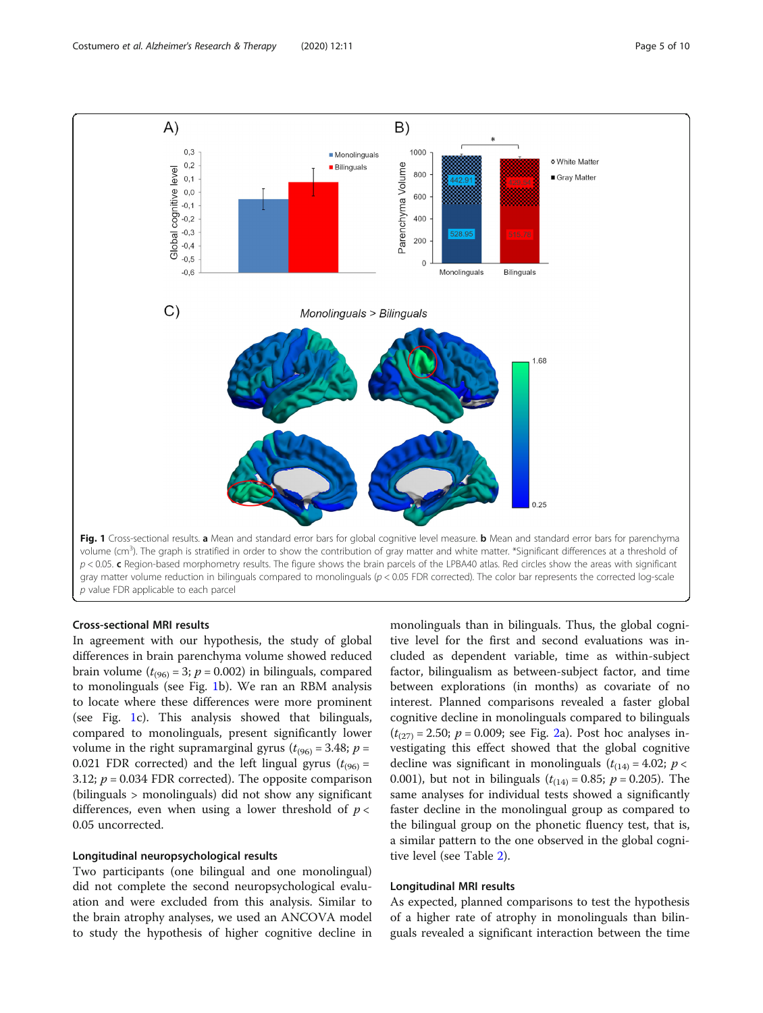<span id="page-4-0"></span>

#### Cross-sectional MRI results

In agreement with our hypothesis, the study of global differences in brain parenchyma volume showed reduced brain volume ( $t_{(96)} = 3$ ;  $p = 0.002$ ) in bilinguals, compared to monolinguals (see Fig. 1b). We ran an RBM analysis to locate where these differences were more prominent (see Fig. 1c). This analysis showed that bilinguals, compared to monolinguals, present significantly lower volume in the right supramarginal gyrus ( $t_{(96)} = 3.48$ ;  $p =$ 0.021 FDR corrected) and the left lingual gyrus ( $t_{(96)}$  = 3.12;  $p = 0.034$  FDR corrected). The opposite comparison (bilinguals > monolinguals) did not show any significant differences, even when using a lower threshold of  $p <$ 0.05 uncorrected.

#### Longitudinal neuropsychological results

Two participants (one bilingual and one monolingual) did not complete the second neuropsychological evaluation and were excluded from this analysis. Similar to the brain atrophy analyses, we used an ANCOVA model to study the hypothesis of higher cognitive decline in monolinguals than in bilinguals. Thus, the global cognitive level for the first and second evaluations was included as dependent variable, time as within-subject factor, bilingualism as between-subject factor, and time between explorations (in months) as covariate of no interest. Planned comparisons revealed a faster global cognitive decline in monolinguals compared to bilinguals  $(t_{(27)} = 2.50; p = 0.009;$  $(t_{(27)} = 2.50; p = 0.009;$  $(t_{(27)} = 2.50; p = 0.009;$  see Fig. 2a). Post hoc analyses investigating this effect showed that the global cognitive decline was significant in monolinguals  $(t_{(14)} = 4.02; p <$ 0.001), but not in bilinguals  $(t_{(14)} = 0.85; p = 0.205)$ . The same analyses for individual tests showed a significantly faster decline in the monolingual group as compared to the bilingual group on the phonetic fluency test, that is, a similar pattern to the one observed in the global cognitive level (see Table [2](#page-6-0)).

#### Longitudinal MRI results

As expected, planned comparisons to test the hypothesis of a higher rate of atrophy in monolinguals than bilinguals revealed a significant interaction between the time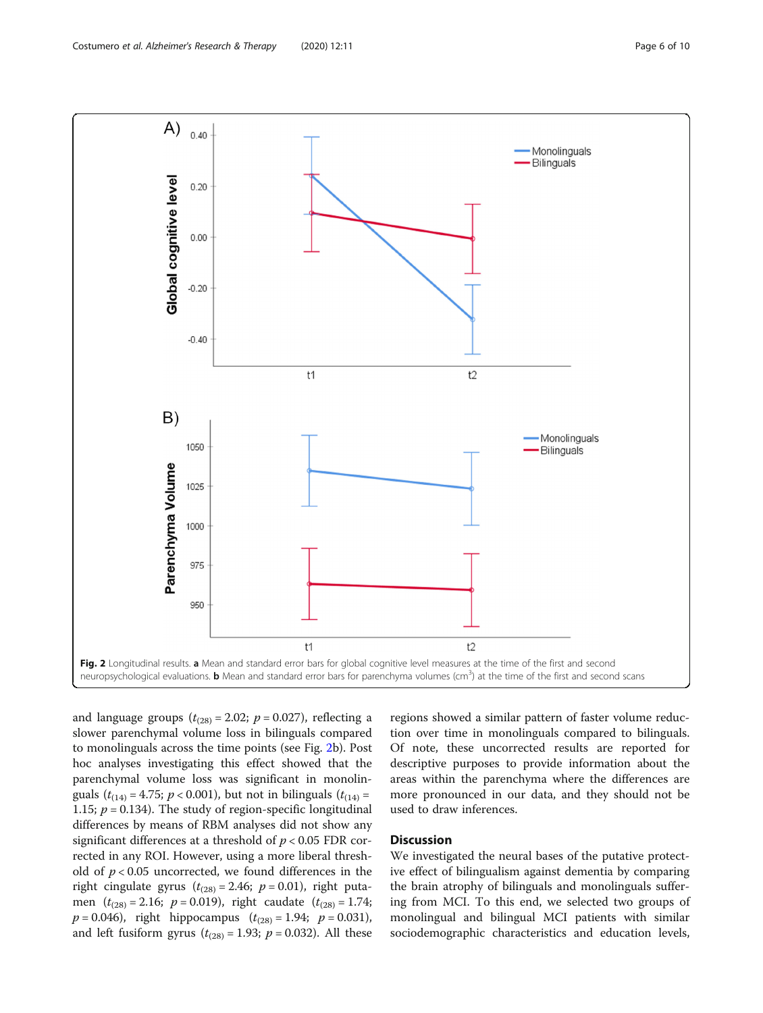<span id="page-5-0"></span>

and language groups  $(t<sub>(28)</sub> = 2.02; p = 0.027)$ , reflecting a slower parenchymal volume loss in bilinguals compared to monolinguals across the time points (see Fig. 2b). Post hoc analyses investigating this effect showed that the parenchymal volume loss was significant in monolinguals ( $t_{(14)} = 4.75$ ;  $p < 0.001$ ), but not in bilinguals ( $t_{(14)} =$ 1.15;  $p = 0.134$ ). The study of region-specific longitudinal differences by means of RBM analyses did not show any significant differences at a threshold of  $p < 0.05$  FDR corrected in any ROI. However, using a more liberal threshold of  $p < 0.05$  uncorrected, we found differences in the right cingulate gyrus  $(t<sub>(28)</sub> = 2.46; p = 0.01)$ , right putamen  $(t_{(28)} = 2.16; p = 0.019)$ , right caudate  $(t_{(28)} = 1.74;$  $p = 0.046$ ), right hippocampus  $(t_{(28)} = 1.94; p = 0.031)$ , and left fusiform gyrus  $(t<sub>(28)</sub> = 1.93; p = 0.032)$ . All these regions showed a similar pattern of faster volume reduction over time in monolinguals compared to bilinguals. Of note, these uncorrected results are reported for descriptive purposes to provide information about the areas within the parenchyma where the differences are more pronounced in our data, and they should not be used to draw inferences.

#### **Discussion**

We investigated the neural bases of the putative protective effect of bilingualism against dementia by comparing the brain atrophy of bilinguals and monolinguals suffering from MCI. To this end, we selected two groups of monolingual and bilingual MCI patients with similar sociodemographic characteristics and education levels,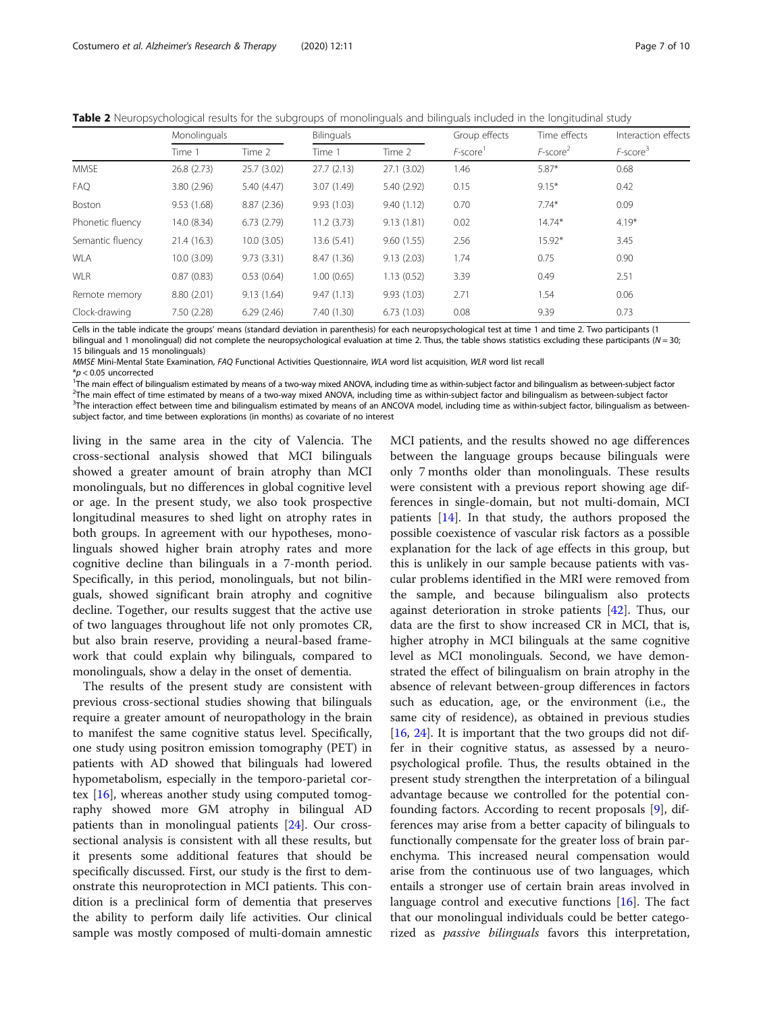<span id="page-6-0"></span>Table 2 Neuropsychological results for the subgroups of monolinguals and bilinguals included in the longitudinal study

|                  | Monolinguals |             | Bilinguals  |            |          | Time effects       | Interaction effects  |
|------------------|--------------|-------------|-------------|------------|----------|--------------------|----------------------|
|                  | Time 1       | Time 2      | Time 1      | Time 2     | F-score' | $F\text{-score}^2$ | F-score <sup>3</sup> |
| <b>MMSE</b>      | 26.8(2.73)   | 25.7 (3.02) | 27.7(2.13)  | 27.1(3.02) | 1.46     | $5.87*$            | 0.68                 |
| FAQ              | 3.80(2.96)   | 5.40(4.47)  | 3.07(1.49)  | 5.40(2.92) | 0.15     | $9.15*$            | 0.42                 |
| Boston           | 9.53(1.68)   | 8.87(2.36)  | 9.93(1.03)  | 9.40(1.12) | 0.70     | $7.74*$            | 0.09                 |
| Phonetic fluency | 14.0 (8.34)  | 6.73(2.79)  | 11.2(3.73)  | 9.13(1.81) | 0.02     | $14.74*$           | $4.19*$              |
| Semantic fluency | 21.4(16.3)   | 10.0(3.05)  | 13.6(5.41)  | 9.60(1.55) | 2.56     | 15.92*             | 3.45                 |
| <b>WLA</b>       | 10.0(3.09)   | 9.73(3.31)  | 8.47 (1.36) | 9.13(2.03) | 1.74     | 0.75               | 0.90                 |
| <b>WLR</b>       | 0.87(0.83)   | 0.53(0.64)  | 1.00(0.65)  | 1.13(0.52) | 3.39     | 0.49               | 2.51                 |
| Remote memory    | 8.80(2.01)   | 9.13(1.64)  | 9.47(1.13)  | 9.93(1.03) | 2.71     | 1.54               | 0.06                 |
| Clock-drawing    | 7.50 (2.28)  | 6.29(2.46)  | 7.40(1.30)  | 6.73(1.03) | 0.08     | 9.39               | 0.73                 |

Cells in the table indicate the groups' means (standard deviation in parenthesis) for each neuropsychological test at time 1 and time 2. Two participants (1 bilingual and 1 monolingual) did not complete the neuropsychological evaluation at time 2. Thus, the table shows statistics excluding these participants ( $N = 30$ ; 15 bilinguals and 15 monolinguals)

MMSE Mini-Mental State Examination, FAQ Functional Activities Questionnaire, WLA word list acquisition, WLR word list recall

 $*p$  < 0.05 uncorrected

<sup>1</sup>The main effect of bilingualism estimated by means of a two-way mixed ANOVA, including time as within-subject factor and bilingualism as between-subject factor

<sup>2</sup>The main effect of time estimated by means of a two-way mixed ANOVA, including time as within-subject factor and bilingualism as between-subject factor

<sup>3</sup>The interaction effect between time and bilingualism estimated by means of an ANCOVA model, including time as within-subject factor, bilingualism as betweensubject factor, and time between explorations (in months) as covariate of no interest

living in the same area in the city of Valencia. The cross-sectional analysis showed that MCI bilinguals showed a greater amount of brain atrophy than MCI monolinguals, but no differences in global cognitive level or age. In the present study, we also took prospective longitudinal measures to shed light on atrophy rates in both groups. In agreement with our hypotheses, monolinguals showed higher brain atrophy rates and more cognitive decline than bilinguals in a 7-month period. Specifically, in this period, monolinguals, but not bilinguals, showed significant brain atrophy and cognitive decline. Together, our results suggest that the active use of two languages throughout life not only promotes CR, but also brain reserve, providing a neural-based framework that could explain why bilinguals, compared to monolinguals, show a delay in the onset of dementia.

The results of the present study are consistent with previous cross-sectional studies showing that bilinguals require a greater amount of neuropathology in the brain to manifest the same cognitive status level. Specifically, one study using positron emission tomography (PET) in patients with AD showed that bilinguals had lowered hypometabolism, especially in the temporo-parietal cortex [[16\]](#page-8-0), whereas another study using computed tomography showed more GM atrophy in bilingual AD patients than in monolingual patients [\[24\]](#page-9-0). Our crosssectional analysis is consistent with all these results, but it presents some additional features that should be specifically discussed. First, our study is the first to demonstrate this neuroprotection in MCI patients. This condition is a preclinical form of dementia that preserves the ability to perform daily life activities. Our clinical sample was mostly composed of multi-domain amnestic

MCI patients, and the results showed no age differences between the language groups because bilinguals were only 7 months older than monolinguals. These results were consistent with a previous report showing age differences in single-domain, but not multi-domain, MCI patients [\[14\]](#page-8-0). In that study, the authors proposed the possible coexistence of vascular risk factors as a possible explanation for the lack of age effects in this group, but this is unlikely in our sample because patients with vascular problems identified in the MRI were removed from the sample, and because bilingualism also protects against deterioration in stroke patients [\[42\]](#page-9-0). Thus, our data are the first to show increased CR in MCI, that is, higher atrophy in MCI bilinguals at the same cognitive level as MCI monolinguals. Second, we have demonstrated the effect of bilingualism on brain atrophy in the absence of relevant between-group differences in factors such as education, age, or the environment (i.e., the same city of residence), as obtained in previous studies [[16,](#page-8-0) [24](#page-9-0)]. It is important that the two groups did not differ in their cognitive status, as assessed by a neuropsychological profile. Thus, the results obtained in the present study strengthen the interpretation of a bilingual advantage because we controlled for the potential confounding factors. According to recent proposals [[9](#page-8-0)], differences may arise from a better capacity of bilinguals to functionally compensate for the greater loss of brain parenchyma. This increased neural compensation would arise from the continuous use of two languages, which entails a stronger use of certain brain areas involved in language control and executive functions [\[16](#page-8-0)]. The fact that our monolingual individuals could be better categorized as *passive bilinguals* favors this interpretation,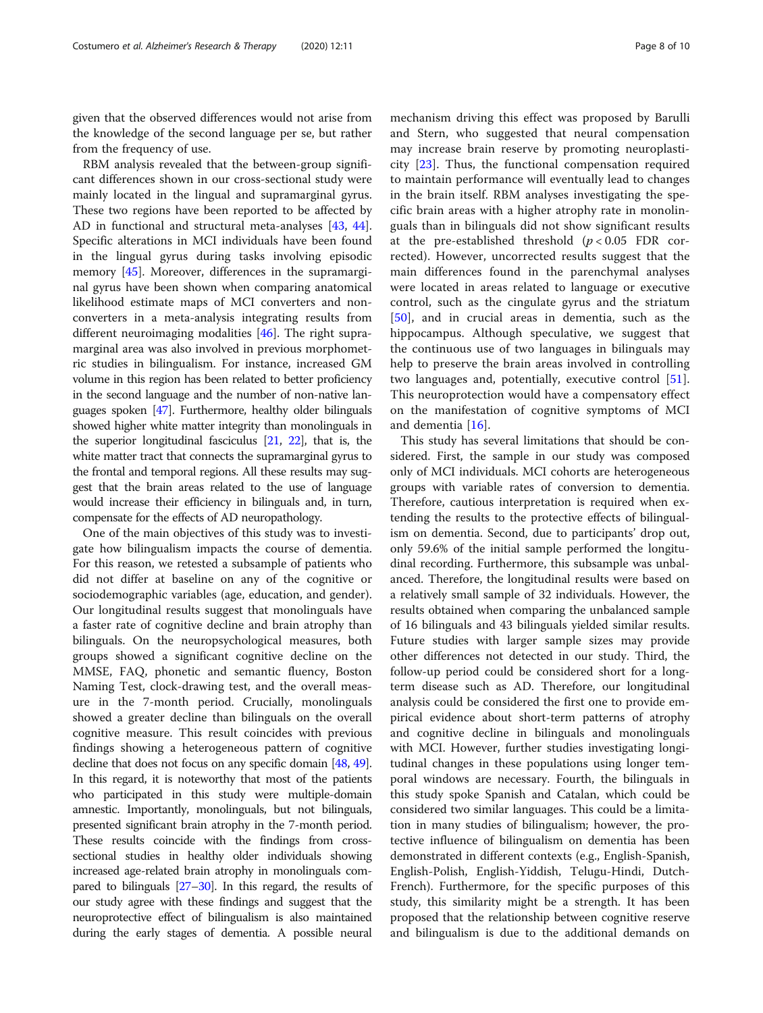given that the observed differences would not arise from the knowledge of the second language per se, but rather from the frequency of use.

RBM analysis revealed that the between-group significant differences shown in our cross-sectional study were mainly located in the lingual and supramarginal gyrus. These two regions have been reported to be affected by AD in functional and structural meta-analyses [\[43](#page-9-0), [44](#page-9-0)]. Specific alterations in MCI individuals have been found in the lingual gyrus during tasks involving episodic memory [\[45\]](#page-9-0). Moreover, differences in the supramarginal gyrus have been shown when comparing anatomical likelihood estimate maps of MCI converters and nonconverters in a meta-analysis integrating results from different neuroimaging modalities [\[46](#page-9-0)]. The right supramarginal area was also involved in previous morphometric studies in bilingualism. For instance, increased GM volume in this region has been related to better proficiency in the second language and the number of non-native languages spoken [\[47](#page-9-0)]. Furthermore, healthy older bilinguals showed higher white matter integrity than monolinguals in the superior longitudinal fasciculus [[21](#page-8-0), [22\]](#page-8-0), that is, the white matter tract that connects the supramarginal gyrus to the frontal and temporal regions. All these results may suggest that the brain areas related to the use of language would increase their efficiency in bilinguals and, in turn, compensate for the effects of AD neuropathology.

One of the main objectives of this study was to investigate how bilingualism impacts the course of dementia. For this reason, we retested a subsample of patients who did not differ at baseline on any of the cognitive or sociodemographic variables (age, education, and gender). Our longitudinal results suggest that monolinguals have a faster rate of cognitive decline and brain atrophy than bilinguals. On the neuropsychological measures, both groups showed a significant cognitive decline on the MMSE, FAQ, phonetic and semantic fluency, Boston Naming Test, clock-drawing test, and the overall measure in the 7-month period. Crucially, monolinguals showed a greater decline than bilinguals on the overall cognitive measure. This result coincides with previous findings showing a heterogeneous pattern of cognitive decline that does not focus on any specific domain [[48](#page-9-0), [49](#page-9-0)]. In this regard, it is noteworthy that most of the patients who participated in this study were multiple-domain amnestic. Importantly, monolinguals, but not bilinguals, presented significant brain atrophy in the 7-month period. These results coincide with the findings from crosssectional studies in healthy older individuals showing increased age-related brain atrophy in monolinguals compared to bilinguals [\[27](#page-9-0)–[30](#page-9-0)]. In this regard, the results of our study agree with these findings and suggest that the neuroprotective effect of bilingualism is also maintained during the early stages of dementia. A possible neural

mechanism driving this effect was proposed by Barulli and Stern, who suggested that neural compensation may increase brain reserve by promoting neuroplasticity [[23\]](#page-9-0). Thus, the functional compensation required to maintain performance will eventually lead to changes in the brain itself. RBM analyses investigating the specific brain areas with a higher atrophy rate in monolinguals than in bilinguals did not show significant results at the pre-established threshold  $(p < 0.05$  FDR corrected). However, uncorrected results suggest that the main differences found in the parenchymal analyses were located in areas related to language or executive control, such as the cingulate gyrus and the striatum [[50\]](#page-9-0), and in crucial areas in dementia, such as the hippocampus. Although speculative, we suggest that the continuous use of two languages in bilinguals may help to preserve the brain areas involved in controlling two languages and, potentially, executive control [\[51](#page-9-0)]. This neuroprotection would have a compensatory effect on the manifestation of cognitive symptoms of MCI and dementia [[16\]](#page-8-0).

This study has several limitations that should be considered. First, the sample in our study was composed only of MCI individuals. MCI cohorts are heterogeneous groups with variable rates of conversion to dementia. Therefore, cautious interpretation is required when extending the results to the protective effects of bilingualism on dementia. Second, due to participants' drop out, only 59.6% of the initial sample performed the longitudinal recording. Furthermore, this subsample was unbalanced. Therefore, the longitudinal results were based on a relatively small sample of 32 individuals. However, the results obtained when comparing the unbalanced sample of 16 bilinguals and 43 bilinguals yielded similar results. Future studies with larger sample sizes may provide other differences not detected in our study. Third, the follow-up period could be considered short for a longterm disease such as AD. Therefore, our longitudinal analysis could be considered the first one to provide empirical evidence about short-term patterns of atrophy and cognitive decline in bilinguals and monolinguals with MCI. However, further studies investigating longitudinal changes in these populations using longer temporal windows are necessary. Fourth, the bilinguals in this study spoke Spanish and Catalan, which could be considered two similar languages. This could be a limitation in many studies of bilingualism; however, the protective influence of bilingualism on dementia has been demonstrated in different contexts (e.g., English-Spanish, English-Polish, English-Yiddish, Telugu-Hindi, Dutch-French). Furthermore, for the specific purposes of this study, this similarity might be a strength. It has been proposed that the relationship between cognitive reserve and bilingualism is due to the additional demands on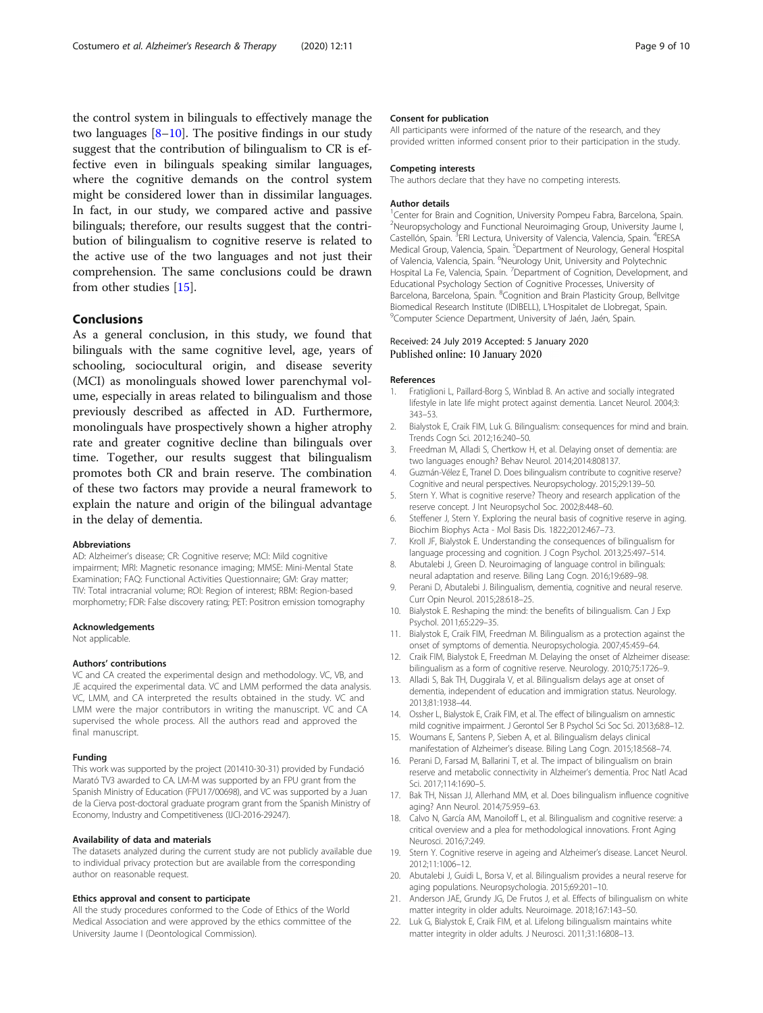<span id="page-8-0"></span>the control system in bilinguals to effectively manage the two languages  $[8-10]$ . The positive findings in our study suggest that the contribution of bilingualism to CR is effective even in bilinguals speaking similar languages, where the cognitive demands on the control system might be considered lower than in dissimilar languages. In fact, in our study, we compared active and passive bilinguals; therefore, our results suggest that the contribution of bilingualism to cognitive reserve is related to the active use of the two languages and not just their comprehension. The same conclusions could be drawn from other studies [15].

#### Conclusions

As a general conclusion, in this study, we found that bilinguals with the same cognitive level, age, years of schooling, sociocultural origin, and disease severity (MCI) as monolinguals showed lower parenchymal volume, especially in areas related to bilingualism and those previously described as affected in AD. Furthermore, monolinguals have prospectively shown a higher atrophy rate and greater cognitive decline than bilinguals over time. Together, our results suggest that bilingualism promotes both CR and brain reserve. The combination of these two factors may provide a neural framework to explain the nature and origin of the bilingual advantage in the delay of dementia.

#### Abbreviations

AD: Alzheimer's disease; CR: Cognitive reserve; MCI: Mild cognitive impairment; MRI: Magnetic resonance imaging; MMSE: Mini-Mental State Examination; FAQ: Functional Activities Questionnaire; GM: Gray matter; TIV: Total intracranial volume; ROI: Region of interest; RBM: Region-based morphometry; FDR: False discovery rating; PET: Positron emission tomography

#### Acknowledgements

Not applicable.

#### Authors' contributions

VC and CA created the experimental design and methodology. VC, VB, and JE acquired the experimental data. VC and LMM performed the data analysis. VC, LMM, and CA interpreted the results obtained in the study. VC and LMM were the major contributors in writing the manuscript. VC and CA supervised the whole process. All the authors read and approved the final manuscript.

#### Funding

This work was supported by the project (201410-30-31) provided by Fundació Marató TV3 awarded to CA. LM-M was supported by an FPU grant from the Spanish Ministry of Education (FPU17/00698), and VC was supported by a Juan de la Cierva post-doctoral graduate program grant from the Spanish Ministry of Economy, Industry and Competitiveness (IJCI-2016-29247).

#### Availability of data and materials

The datasets analyzed during the current study are not publicly available due to individual privacy protection but are available from the corresponding author on reasonable request.

#### Ethics approval and consent to participate

All the study procedures conformed to the Code of Ethics of the World Medical Association and were approved by the ethics committee of the University Jaume I (Deontological Commission).

#### Consent for publication

All participants were informed of the nature of the research, and they provided written informed consent prior to their participation in the study.

#### Competing interests

The authors declare that they have no competing interests.

#### Author details

<sup>1</sup> Center for Brain and Cognition, University Pompeu Fabra, Barcelona, Spain. <sup>2</sup>Neuropsychology and Functional Neuroimaging Group, University Jaume I Castellón, Spain.<sup>3</sup>ERI Lectura, University of Valencia, Valencia, Spain.<sup>4</sup>ERESA Medical Group, Valencia, Spain. <sup>5</sup>Department of Neurology, General Hospital of Valencia, Valencia, Spain. <sup>6</sup>Neurology Unit, University and Polytechnic Hospital La Fe, Valencia, Spain. <sup>7</sup>Department of Cognition, Development, and Educational Psychology Section of Cognitive Processes, University of Barcelona, Barcelona, Spain. <sup>8</sup>Cognition and Brain Plasticity Group, Bellvitge Biomedical Research Institute (IDIBELL), L'Hospitalet de Llobregat, Spain. <sup>9</sup> <sup>9</sup> Computer Science Department, University of Jaén, Jaén, Spain.

#### Received: 24 July 2019 Accepted: 5 January 2020 Published online: 10 January 2020

#### References

- 1. Fratiglioni L, Paillard-Borg S, Winblad B. An active and socially integrated lifestyle in late life might protect against dementia. Lancet Neurol. 2004;3: 343–53.
- 2. Bialystok E, Craik FIM, Luk G. Bilingualism: consequences for mind and brain. Trends Cogn Sci. 2012;16:240–50.
- 3. Freedman M, Alladi S, Chertkow H, et al. Delaying onset of dementia: are two languages enough? Behav Neurol. 2014;2014:808137.
- 4. Guzmán-Vélez E, Tranel D. Does bilingualism contribute to cognitive reserve? Cognitive and neural perspectives. Neuropsychology. 2015;29:139–50.
- 5. Stern Y. What is cognitive reserve? Theory and research application of the reserve concept. J Int Neuropsychol Soc. 2002;8:448–60.
- 6. Steffener J, Stern Y. Exploring the neural basis of cognitive reserve in aging. Biochim Biophys Acta - Mol Basis Dis. 1822;2012:467–73.
- 7. Kroll JF, Bialystok E. Understanding the consequences of bilingualism for language processing and cognition. J Cogn Psychol. 2013;25:497–514.
- 8. Abutalebi J, Green D. Neuroimaging of language control in bilinguals: neural adaptation and reserve. Biling Lang Cogn. 2016;19:689–98.
- Perani D, Abutalebi J. Bilingualism, dementia, cognitive and neural reserve. Curr Opin Neurol. 2015;28:618–25.
- 10. Bialystok E. Reshaping the mind: the benefits of bilingualism. Can J Exp Psychol. 2011;65:229–35.
- 11. Bialystok E, Craik FIM, Freedman M. Bilingualism as a protection against the onset of symptoms of dementia. Neuropsychologia. 2007;45:459–64.
- 12. Craik FIM, Bialystok E, Freedman M. Delaying the onset of Alzheimer disease: bilingualism as a form of cognitive reserve. Neurology. 2010;75:1726–9.
- 13. Alladi S, Bak TH, Duggirala V, et al. Bilingualism delays age at onset of dementia, independent of education and immigration status. Neurology. 2013;81:1938–44.
- 14. Ossher L, Bialystok E, Craik FIM, et al. The effect of bilingualism on amnestic mild cognitive impairment. J Gerontol Ser B Psychol Sci Soc Sci. 2013;68:8–12.
- 15. Woumans E, Santens P, Sieben A, et al. Bilingualism delays clinical manifestation of Alzheimer's disease. Biling Lang Cogn. 2015;18:568–74.
- 16. Perani D, Farsad M, Ballarini T, et al. The impact of bilingualism on brain reserve and metabolic connectivity in Alzheimer's dementia. Proc Natl Acad Sci. 2017;114:1690–5.
- 17. Bak TH, Nissan JJ, Allerhand MM, et al. Does bilingualism influence cognitive aging? Ann Neurol. 2014;75:959–63.
- 18. Calvo N, García AM, Manoiloff L, et al. Bilingualism and cognitive reserve: a critical overview and a plea for methodological innovations. Front Aging Neurosci. 2016;7:249.
- 19. Stern Y. Cognitive reserve in ageing and Alzheimer's disease. Lancet Neurol. 2012;11:1006–12.
- 20. Abutalebi J, Guidi L, Borsa V, et al. Bilingualism provides a neural reserve for aging populations. Neuropsychologia. 2015;69:201–10.
- 21. Anderson JAE, Grundy JG, De Frutos J, et al. Effects of bilingualism on white matter integrity in older adults. Neuroimage. 2018;167:143–50.
- 22. Luk G, Bialystok E, Craik FIM, et al. Lifelong bilingualism maintains white matter integrity in older adults. J Neurosci. 2011;31:16808–13.